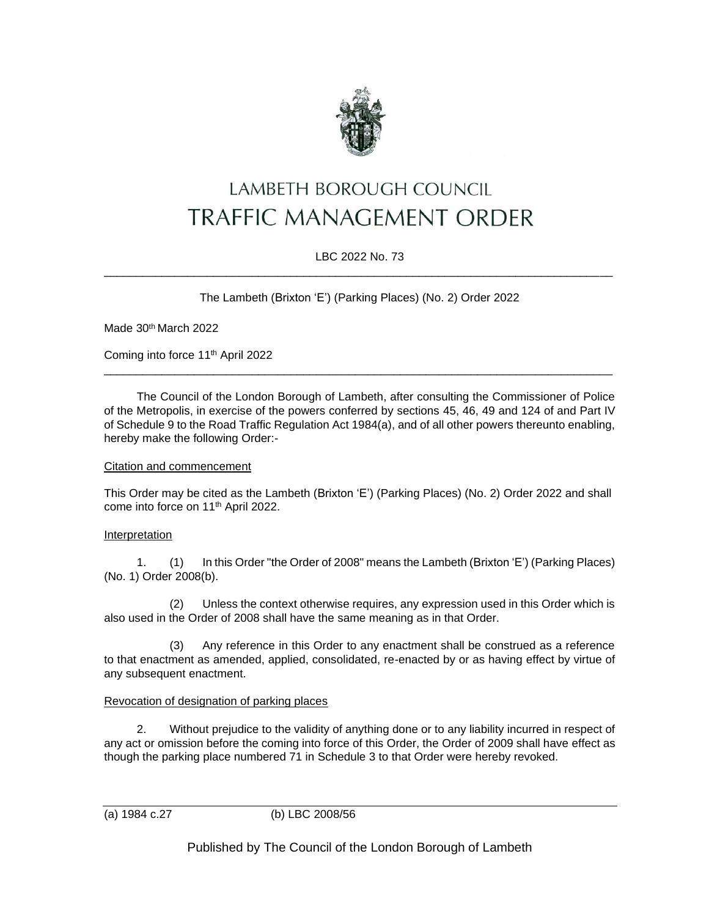

# LAMBETH BOROUGH COUNCIL TRAFFIC MANAGEMENT ORDER

## LBC 2022 No. 73 \_\_\_\_\_\_\_\_\_\_\_\_\_\_\_\_\_\_\_\_\_\_\_\_\_\_\_\_\_\_\_\_\_\_\_\_\_\_\_\_\_\_\_\_\_\_\_\_\_\_\_\_\_\_\_\_\_\_\_\_\_\_\_\_\_\_\_\_\_\_\_\_\_\_\_\_\_\_\_

The Lambeth (Brixton 'E') (Parking Places) (No. 2) Order 2022

Made 30<sup>th</sup> March 2022

Coming into force 11th April 2022

The Council of the London Borough of Lambeth, after consulting the Commissioner of Police of the Metropolis, in exercise of the powers conferred by sections 45, 46, 49 and 124 of and Part IV of Schedule 9 to the Road Traffic Regulation Act 1984(a), and of all other powers thereunto enabling, hereby make the following Order:-

\_\_\_\_\_\_\_\_\_\_\_\_\_\_\_\_\_\_\_\_\_\_\_\_\_\_\_\_\_\_\_\_\_\_\_\_\_\_\_\_\_\_\_\_\_\_\_\_\_\_\_\_\_\_\_\_\_\_\_\_\_\_\_\_\_\_\_\_\_\_\_\_\_\_\_\_\_\_\_

## Citation and commencement

This Order may be cited as the Lambeth (Brixton 'E') (Parking Places) (No. 2) Order 2022 and shall come into force on 11th April 2022.

## Interpretation

1. (1) In this Order "the Order of 2008" means the Lambeth (Brixton 'E') (Parking Places) (No. 1) Order 2008(b).

(2) Unless the context otherwise requires, any expression used in this Order which is also used in the Order of 2008 shall have the same meaning as in that Order.

(3) Any reference in this Order to any enactment shall be construed as a reference to that enactment as amended, applied, consolidated, re-enacted by or as having effect by virtue of any subsequent enactment.

# Revocation of designation of parking places

2. Without prejudice to the validity of anything done or to any liability incurred in respect of any act or omission before the coming into force of this Order, the Order of 2009 shall have effect as though the parking place numbered 71 in Schedule 3 to that Order were hereby revoked.

(a) 1984 c.27 (b) LBC 2008/56

Published by The Council of the London Borough of Lambeth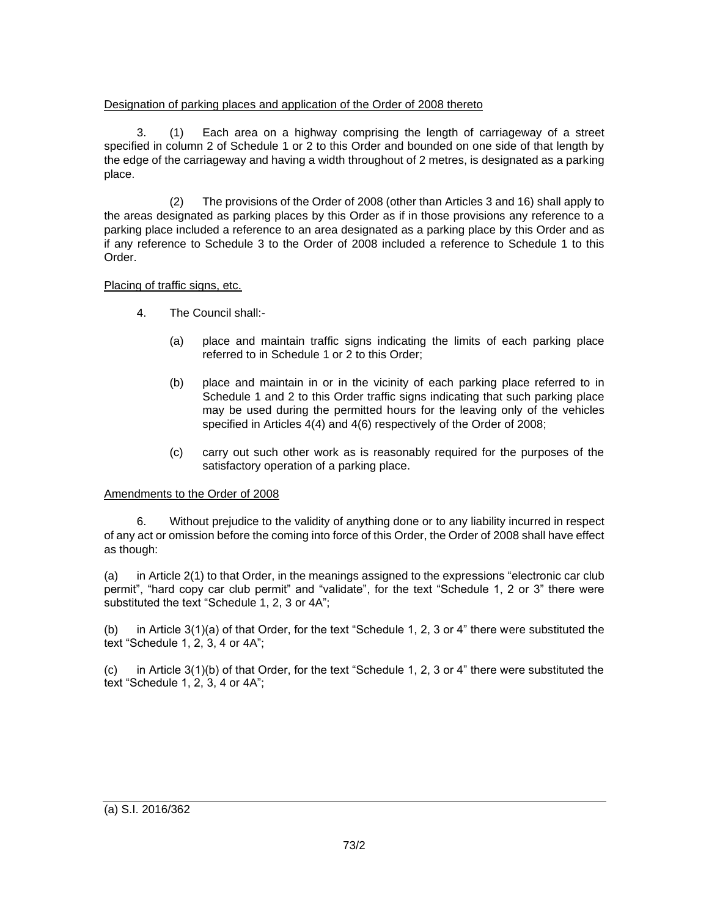## Designation of parking places and application of the Order of 2008 thereto

3. (1) Each area on a highway comprising the length of carriageway of a street specified in column 2 of Schedule 1 or 2 to this Order and bounded on one side of that length by the edge of the carriageway and having a width throughout of 2 metres, is designated as a parking place.

(2) The provisions of the Order of 2008 (other than Articles 3 and 16) shall apply to the areas designated as parking places by this Order as if in those provisions any reference to a parking place included a reference to an area designated as a parking place by this Order and as if any reference to Schedule 3 to the Order of 2008 included a reference to Schedule 1 to this Order.

# Placing of traffic signs, etc.

- 4. The Council shall:-
	- (a) place and maintain traffic signs indicating the limits of each parking place referred to in Schedule 1 or 2 to this Order;
	- (b) place and maintain in or in the vicinity of each parking place referred to in Schedule 1 and 2 to this Order traffic signs indicating that such parking place may be used during the permitted hours for the leaving only of the vehicles specified in Articles 4(4) and 4(6) respectively of the Order of 2008;
	- (c) carry out such other work as is reasonably required for the purposes of the satisfactory operation of a parking place.

# Amendments to the Order of 2008

6. Without prejudice to the validity of anything done or to any liability incurred in respect of any act or omission before the coming into force of this Order, the Order of 2008 shall have effect as though:

(a) in Article 2(1) to that Order, in the meanings assigned to the expressions "electronic car club permit", "hard copy car club permit" and "validate", for the text "Schedule 1, 2 or 3" there were substituted the text "Schedule 1, 2, 3 or 4A";

(b) in Article 3(1)(a) of that Order, for the text "Schedule 1, 2, 3 or 4" there were substituted the text "Schedule 1, 2, 3, 4 or 4A";

(c) in Article 3(1)(b) of that Order, for the text "Schedule 1, 2, 3 or 4" there were substituted the text "Schedule 1, 2, 3, 4 or 4A";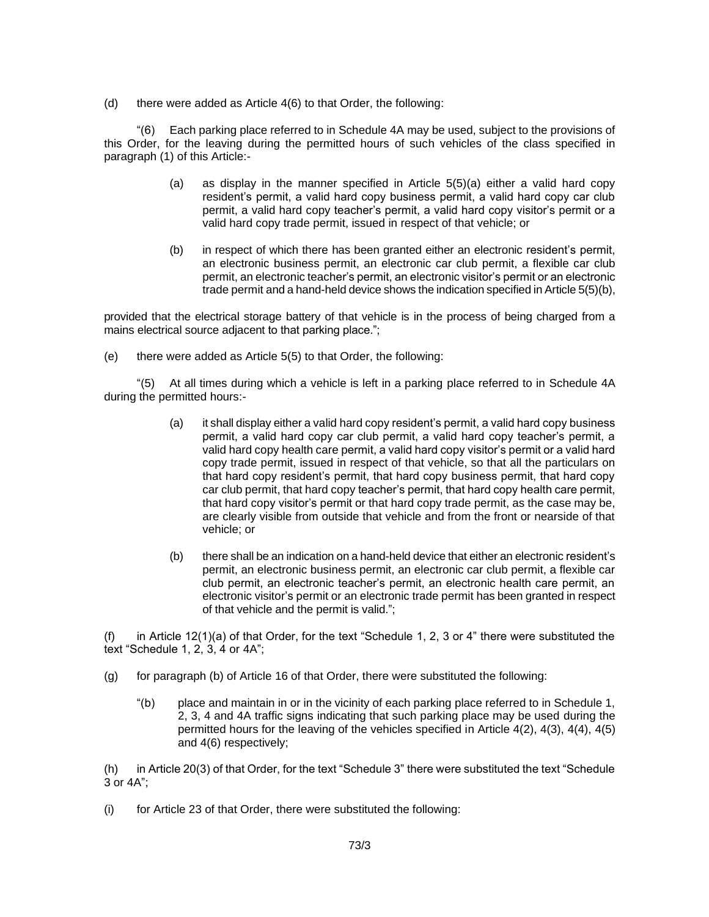(d) there were added as Article  $4(6)$  to that Order, the following:

"(6) Each parking place referred to in Schedule 4A may be used, subject to the provisions of this Order, for the leaving during the permitted hours of such vehicles of the class specified in paragraph (1) of this Article:-

- (a) as display in the manner specified in Article 5(5)(a) either a valid hard copy resident's permit, a valid hard copy business permit, a valid hard copy car club permit, a valid hard copy teacher's permit, a valid hard copy visitor's permit or a valid hard copy trade permit, issued in respect of that vehicle; or
- (b) in respect of which there has been granted either an electronic resident's permit, an electronic business permit, an electronic car club permit, a flexible car club permit, an electronic teacher's permit, an electronic visitor's permit or an electronic trade permit and a hand-held device shows the indication specified in Article 5(5)(b),

provided that the electrical storage battery of that vehicle is in the process of being charged from a mains electrical source adjacent to that parking place.";

(e) there were added as Article 5(5) to that Order, the following:

"(5) At all times during which a vehicle is left in a parking place referred to in Schedule 4A during the permitted hours:-

- (a) it shall display either a valid hard copy resident's permit, a valid hard copy business permit, a valid hard copy car club permit, a valid hard copy teacher's permit, a valid hard copy health care permit, a valid hard copy visitor's permit or a valid hard copy trade permit, issued in respect of that vehicle, so that all the particulars on that hard copy resident's permit, that hard copy business permit, that hard copy car club permit, that hard copy teacher's permit, that hard copy health care permit, that hard copy visitor's permit or that hard copy trade permit, as the case may be, are clearly visible from outside that vehicle and from the front or nearside of that vehicle; or
- (b) there shall be an indication on a hand-held device that either an electronic resident's permit, an electronic business permit, an electronic car club permit, a flexible car club permit, an electronic teacher's permit, an electronic health care permit, an electronic visitor's permit or an electronic trade permit has been granted in respect of that vehicle and the permit is valid.";

(f) in Article 12(1)(a) of that Order, for the text "Schedule 1, 2, 3 or 4" there were substituted the text "Schedule 1, 2, 3, 4 or 4A";

- (g) for paragraph (b) of Article 16 of that Order, there were substituted the following:
	- "(b) place and maintain in or in the vicinity of each parking place referred to in Schedule 1, 2, 3, 4 and 4A traffic signs indicating that such parking place may be used during the permitted hours for the leaving of the vehicles specified in Article 4(2), 4(3), 4(4), 4(5) and 4(6) respectively;

(h) in Article 20(3) of that Order, for the text "Schedule 3" there were substituted the text "Schedule 3 or 4A";

(i) for Article 23 of that Order, there were substituted the following: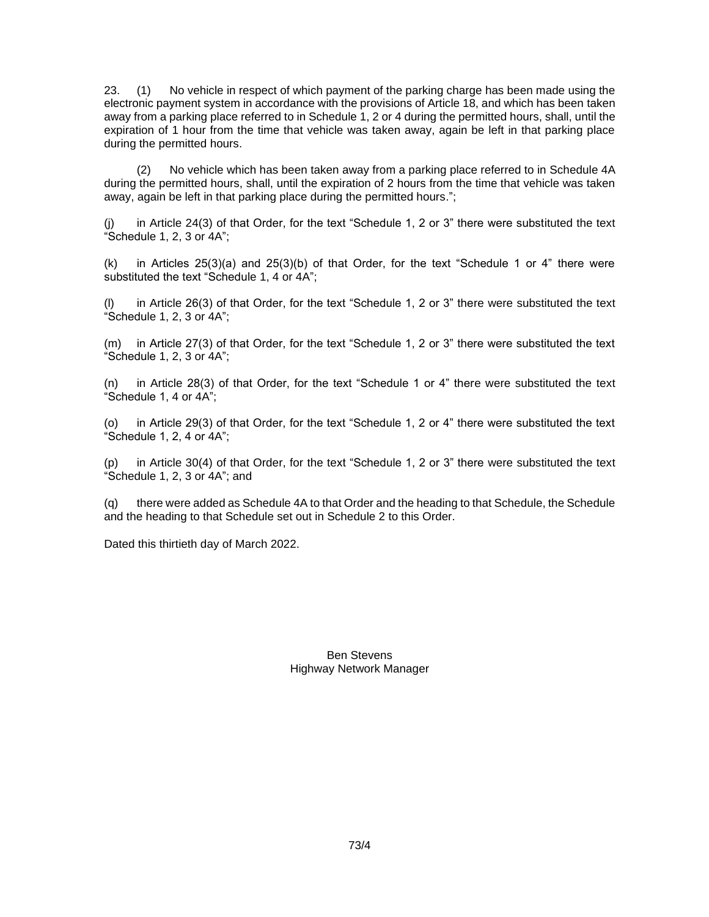23. (1) No vehicle in respect of which payment of the parking charge has been made using the electronic payment system in accordance with the provisions of Article 18, and which has been taken away from a parking place referred to in Schedule 1, 2 or 4 during the permitted hours, shall, until the expiration of 1 hour from the time that vehicle was taken away, again be left in that parking place during the permitted hours.

(2) No vehicle which has been taken away from a parking place referred to in Schedule 4A during the permitted hours, shall, until the expiration of 2 hours from the time that vehicle was taken away, again be left in that parking place during the permitted hours.";

in Article 24(3) of that Order, for the text "Schedule 1, 2 or 3" there were substituted the text "Schedule  $1, 2, 3$  or  $4A$ ";

 $(k)$  in Articles 25(3)(a) and 25(3)(b) of that Order, for the text "Schedule 1 or 4" there were substituted the text "Schedule 1, 4 or 4A";

(l) in Article 26(3) of that Order, for the text "Schedule 1, 2 or 3" there were substituted the text  $\degree$ Schedule 1, 2, 3 or 4A";

(m) in Article 27(3) of that Order, for the text "Schedule 1, 2 or 3" there were substituted the text "Schedule 1, 2, 3 or 4A";

(n) in Article 28(3) of that Order, for the text "Schedule 1 or 4" there were substituted the text "Schedule 1, 4 or 4A";

(o) in Article 29(3) of that Order, for the text "Schedule 1, 2 or 4" there were substituted the text "Schedule 1, 2, 4 or 4A";

in Article 30(4) of that Order, for the text "Schedule 1, 2 or 3" there were substituted the text "Schedule 1, 2, 3 or 4A"; and

(q) there were added as Schedule 4A to that Order and the heading to that Schedule, the Schedule and the heading to that Schedule set out in Schedule 2 to this Order.

Dated this thirtieth day of March 2022.

Ben Stevens Highway Network Manager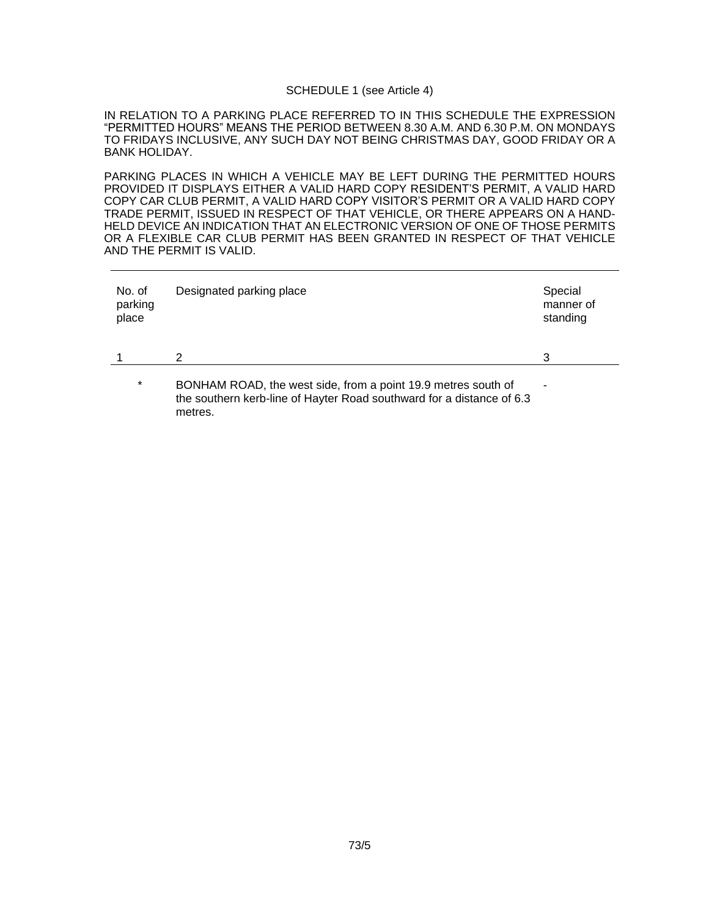#### SCHEDULE 1 (see Article 4)

IN RELATION TO A PARKING PLACE REFERRED TO IN THIS SCHEDULE THE EXPRESSION "PERMITTED HOURS" MEANS THE PERIOD BETWEEN 8.30 A.M. AND 6.30 P.M. ON MONDAYS TO FRIDAYS INCLUSIVE, ANY SUCH DAY NOT BEING CHRISTMAS DAY, GOOD FRIDAY OR A BANK HOLIDAY.

PARKING PLACES IN WHICH A VEHICLE MAY BE LEFT DURING THE PERMITTED HOURS PROVIDED IT DISPLAYS EITHER A VALID HARD COPY RESIDENT'S PERMIT, A VALID HARD COPY CAR CLUB PERMIT, A VALID HARD COPY VISITOR'S PERMIT OR A VALID HARD COPY TRADE PERMIT, ISSUED IN RESPECT OF THAT VEHICLE, OR THERE APPEARS ON A HAND-HELD DEVICE AN INDICATION THAT AN ELECTRONIC VERSION OF ONE OF THOSE PERMITS OR A FLEXIBLE CAR CLUB PERMIT HAS BEEN GRANTED IN RESPECT OF THAT VEHICLE AND THE PERMIT IS VALID.

| No. of<br>parking<br>place | Designated parking place                                                                                                                          | Special<br>manner of<br>standing |
|----------------------------|---------------------------------------------------------------------------------------------------------------------------------------------------|----------------------------------|
|                            | 2                                                                                                                                                 | 3                                |
| $\star$                    | BONHAM ROAD, the west side, from a point 19.9 metres south of<br>the southern kerb-line of Hayter Road southward for a distance of 6.3<br>metres. |                                  |